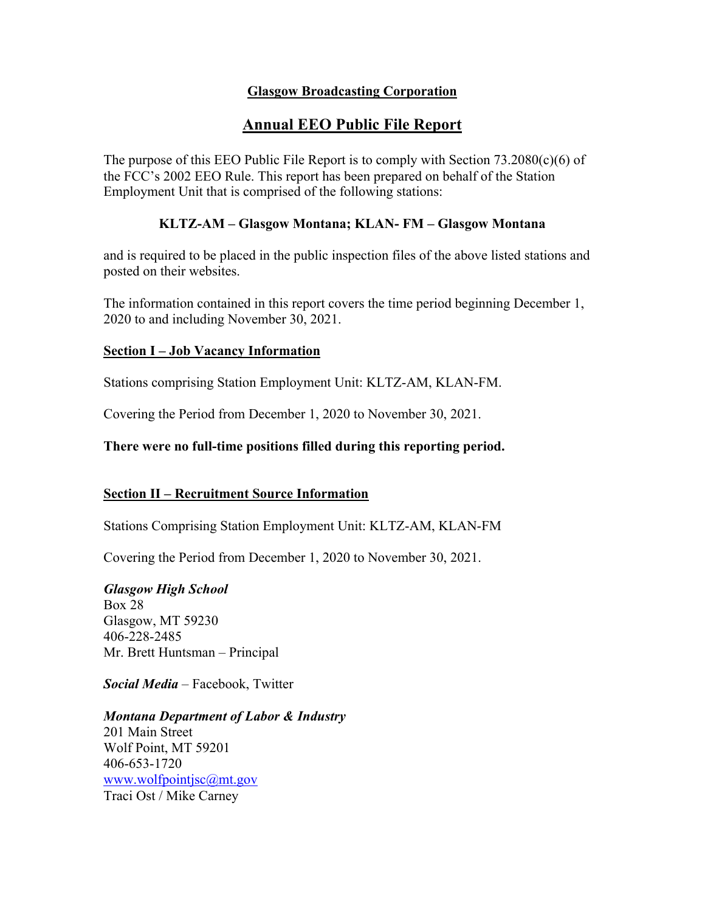## **Glasgow Broadcasting Corporation**

# **Annual EEO Public File Report**

The purpose of this EEO Public File Report is to comply with Section  $73.2080(c)(6)$  of the FCC's 2002 EEO Rule. This report has been prepared on behalf of the Station Employment Unit that is comprised of the following stations:

#### **KLTZ-AM – Glasgow Montana; KLAN- FM – Glasgow Montana**

and is required to be placed in the public inspection files of the above listed stations and posted on their websites.

The information contained in this report covers the time period beginning December 1, 2020 to and including November 30, 2021.

#### **Section I – Job Vacancy Information**

Stations comprising Station Employment Unit: KLTZ-AM, KLAN-FM.

Covering the Period from December 1, 2020 to November 30, 2021.

**There were no full-time positions filled during this reporting period.**

#### **Section II – Recruitment Source Information**

Stations Comprising Station Employment Unit: KLTZ-AM, KLAN-FM

Covering the Period from December 1, 2020 to November 30, 2021.

*Glasgow High School*

Box 28 Glasgow, MT 59230 406-228-2485 Mr. Brett Huntsman – Principal

*Social Media* – Facebook, Twitter

*Montana Department of Labor & Industry* 201 Main Street Wolf Point, MT 59201 406-653-1720 www.wolfpointjsc@mt.gov Traci Ost / Mike Carney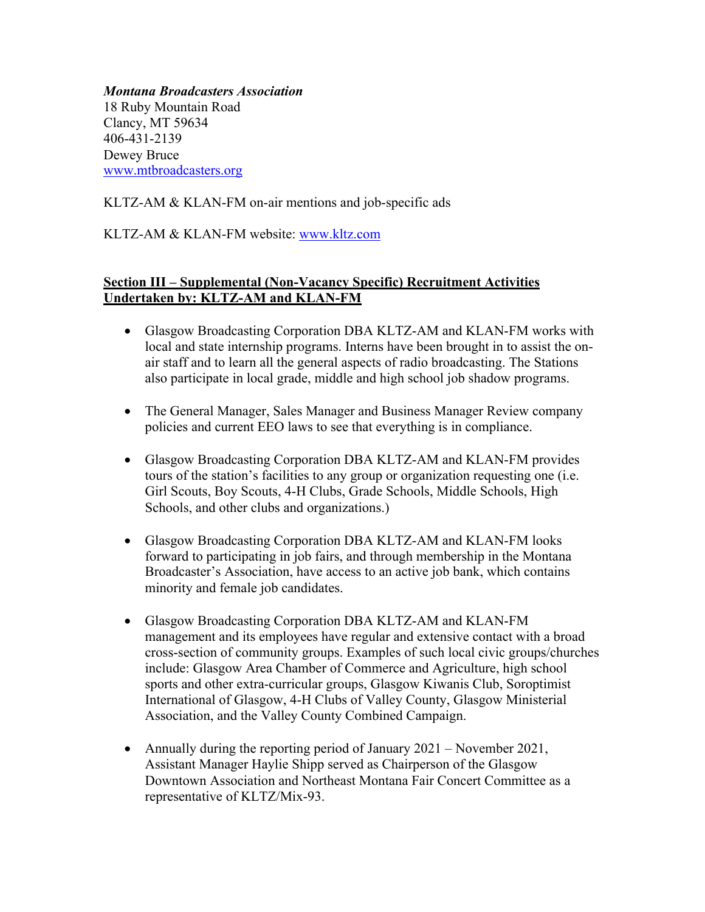*Montana Broadcasters Association* 18 Ruby Mountain Road Clancy, MT 59634 406-431-2139 Dewey Bruce www.mtbroadcasters.org

KLTZ-AM & KLAN-FM on-air mentions and job-specific ads

## KLTZ-AM & KLAN-FM website: www.kltz.com

#### **Section III – Supplemental (Non-Vacancy Specific) Recruitment Activities Undertaken by: KLTZ-AM and KLAN-FM**

- Glasgow Broadcasting Corporation DBA KLTZ-AM and KLAN-FM works with local and state internship programs. Interns have been brought in to assist the onair staff and to learn all the general aspects of radio broadcasting. The Stations also participate in local grade, middle and high school job shadow programs.
- The General Manager, Sales Manager and Business Manager Review company policies and current EEO laws to see that everything is in compliance.
- Glasgow Broadcasting Corporation DBA KLTZ-AM and KLAN-FM provides tours of the station's facilities to any group or organization requesting one (i.e. Girl Scouts, Boy Scouts, 4-H Clubs, Grade Schools, Middle Schools, High Schools, and other clubs and organizations.)
- Glasgow Broadcasting Corporation DBA KLTZ-AM and KLAN-FM looks forward to participating in job fairs, and through membership in the Montana Broadcaster's Association, have access to an active job bank, which contains minority and female job candidates.
- Glasgow Broadcasting Corporation DBA KLTZ-AM and KLAN-FM management and its employees have regular and extensive contact with a broad cross-section of community groups. Examples of such local civic groups/churches include: Glasgow Area Chamber of Commerce and Agriculture, high school sports and other extra-curricular groups, Glasgow Kiwanis Club, Soroptimist International of Glasgow, 4-H Clubs of Valley County, Glasgow Ministerial Association, and the Valley County Combined Campaign.
- Annually during the reporting period of January 2021 November 2021, Assistant Manager Haylie Shipp served as Chairperson of the Glasgow Downtown Association and Northeast Montana Fair Concert Committee as a representative of KLTZ/Mix-93.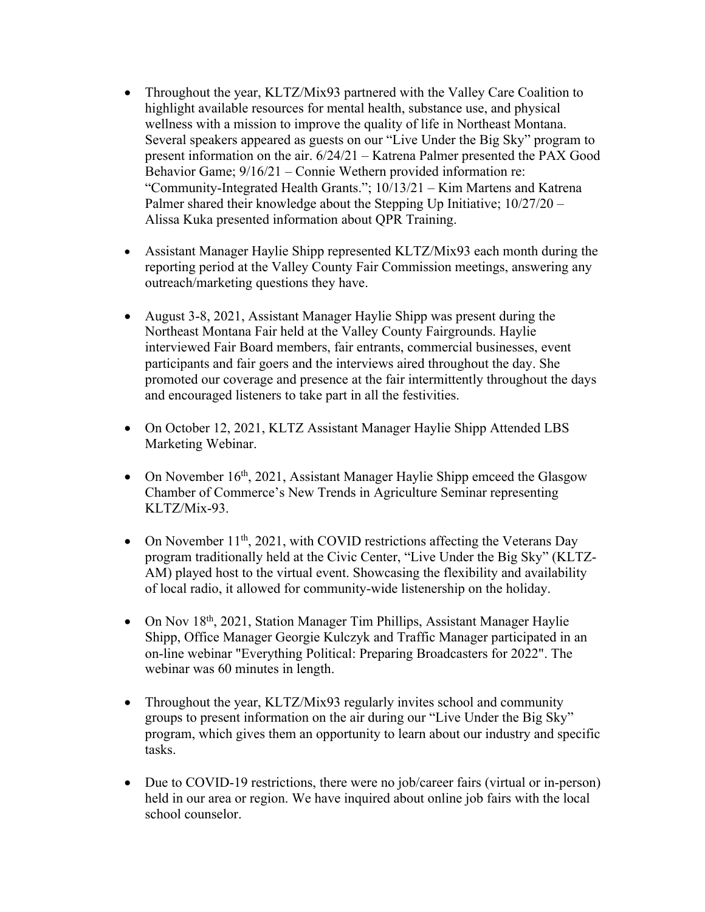- Throughout the year, KLTZ/Mix93 partnered with the Valley Care Coalition to highlight available resources for mental health, substance use, and physical wellness with a mission to improve the quality of life in Northeast Montana. Several speakers appeared as guests on our "Live Under the Big Sky" program to present information on the air. 6/24/21 – Katrena Palmer presented the PAX Good Behavior Game; 9/16/21 – Connie Wethern provided information re: "Community-Integrated Health Grants."; 10/13/21 – Kim Martens and Katrena Palmer shared their knowledge about the Stepping Up Initiative;  $10/27/20$  – Alissa Kuka presented information about QPR Training.
- Assistant Manager Haylie Shipp represented KLTZ/Mix93 each month during the reporting period at the Valley County Fair Commission meetings, answering any outreach/marketing questions they have.
- August 3-8, 2021, Assistant Manager Haylie Shipp was present during the Northeast Montana Fair held at the Valley County Fairgrounds. Haylie interviewed Fair Board members, fair entrants, commercial businesses, event participants and fair goers and the interviews aired throughout the day. She promoted our coverage and presence at the fair intermittently throughout the days and encouraged listeners to take part in all the festivities.
- On October 12, 2021, KLTZ Assistant Manager Haylie Shipp Attended LBS Marketing Webinar.
- On November  $16<sup>th</sup>$ , 2021, Assistant Manager Haylie Shipp emceed the Glasgow Chamber of Commerce's New Trends in Agriculture Seminar representing KLTZ/Mix-93.
- On November  $11<sup>th</sup>$ , 2021, with COVID restrictions affecting the Veterans Day program traditionally held at the Civic Center, "Live Under the Big Sky" (KLTZ-AM) played host to the virtual event. Showcasing the flexibility and availability of local radio, it allowed for community-wide listenership on the holiday.
- On Nov 18<sup>th</sup>, 2021, Station Manager Tim Phillips, Assistant Manager Haylie Shipp, Office Manager Georgie Kulczyk and Traffic Manager participated in an on-line webinar "Everything Political: Preparing Broadcasters for 2022". The webinar was 60 minutes in length.
- Throughout the year, KLTZ/Mix93 regularly invites school and community groups to present information on the air during our "Live Under the Big Sky" program, which gives them an opportunity to learn about our industry and specific tasks.
- Due to COVID-19 restrictions, there were no job/career fairs (virtual or in-person) held in our area or region. We have inquired about online job fairs with the local school counselor.